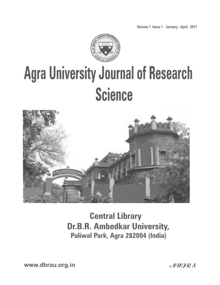Volume 1 Issue 1 January - April, 2017



# **Agra University Journal of Research Science**



**Central Library** Dr.B.R. Ambedkar University, Paliwal Park, Agra 282004 (India)

www.dbrau.org.in

 $AUGRS$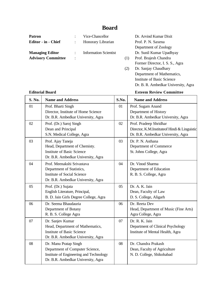### **Board**

| <b>Patron</b>             |                | Vice-Chancellor              |     | Dr. Arvind Kumar Dixit          |
|---------------------------|----------------|------------------------------|-----|---------------------------------|
| Editor - in - Chief       |                | Honorary Librarian           |     | Prof. P. N. Saxena              |
|                           |                |                              |     | Department of Zoology           |
| <b>Managing Editor</b>    |                | <b>Information Scientist</b> |     | Dr. Sunil Kumar Upadhyay        |
| <b>Advisory Committee</b> | $\ddot{\cdot}$ |                              | (1) | Prof. Brajesh Chandra           |
|                           |                |                              |     | Former Director, I. S. S., Agra |
|                           |                |                              | (2) | Dr. Sanjay Chaudhary            |
|                           |                |                              |     | Department of Mathematics,      |

**Editorial Board Esteem Review Committee**

Dr. B. R. Ambedkar University, Agra

Institute of Basic Science

| S. No. | <b>Name and Address</b>                                                                                                                   | S.No. | <b>Name and Address</b>                                                                                      |
|--------|-------------------------------------------------------------------------------------------------------------------------------------------|-------|--------------------------------------------------------------------------------------------------------------|
| 01     | Prof. Bharti Singh<br>Director, Institute of Home Science<br>Dr. B.R. Ambedkar University, Agra                                           | 01    | Prof. Sugam Anand<br>Department of History<br>Dr. B.R. Ambedkar University, Agra                             |
| 02     | Prof. (Dr.) Saroj Singh<br>Dean and Principal<br>S.N. Medical College, Agra                                                               | 02    | Prof. Pradeep Shridhar<br>Director, K.M.Instituteof Hindi & Linguistic<br>Dr. B.R. Ambedkar University, Agra |
| 03     | Prof. Ajay Taneja<br>Head, Department of Chemisty.<br><b>Institute of Basic Science</b><br>Dr. B.R. Ambedkar University, Agra             | 03    | Dr. P. N. Asthana<br>Department of Commerce<br>St. Johns College, Agra                                       |
| 04     | Prof. Meenakshi Srivastava<br>Department of Statistics,<br><b>Institute of Social Science</b><br>Dr. B.R. Ambedkar University, Agra       | 04    | Dr. Vinod Sharma<br>Department of Education<br>R. B. S. College, Agra                                        |
| 05     | Prof. (Dr.) Sujata<br>English Literature, Principal,<br>B. D. Jain Girls Degree College, Agra                                             | 05    | Dr. A. K. Jain<br>Dean, Faculty of Law<br>D. S. College, Aligarh                                             |
| 06     | Dr. Seema Bhaudauria<br>Department of Botany<br>R. B. S. College Agra                                                                     | 06    | Dr. Reeta Dev<br>Head, Department of Music (Fine Arts)<br>Agra College, Agra                                 |
| 07     | Dr. Sanjev Kumar<br>Head, Department of Mathematics,<br><b>Institute of Basic Science</b><br>Dr. B.R. Ambedkar University, Agra           | 07    | Dr. R. K. Jain<br>Department of Clinical Psychology<br>Institute of Mental Health, Agra                      |
| 08     | Dr. Manu Pratap Singh<br>Department of Computer Science,<br>Institute of Engineering and Technology<br>Dr. B.R. Ambedkar University, Agra | 08    | Dr. Chandra Prakash<br>Dean, Faculty of Agriculture<br>N. D. College, Shikohabad                             |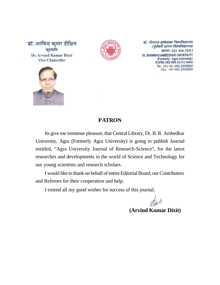



डॉ. भीमराव अम्बेडकर विश्वविद्यालय (पूर्ववर्ती आगरा विश्वविद्यालय) आगरा-282 004 (उ.प्र.) Dr. BHIMRAO AMBEDKAR UNIVERSITY (Formerly: Agra University) AGRA-282 004 (U.P.) India Tel: (O) +91-562-2858668 Fax: +91-562-2858669



#### **PATRON**

Its give me immense pleasure, that Central Library, Dr. B. R. Ambedkar University, Agra (Formerly Agra University) is going to publish Journal entitled, "Agra University Journal of Research-Science", for the latest researches and developments in the world of Science and Technology for our young scientists and research scholars.

I would like to thank on behalf of entire Editorial Board, our Contributors and Referees for their cooperation and help.

I extend all my good wishes for success of this journal.

**(Arvind Kumar Dixit)**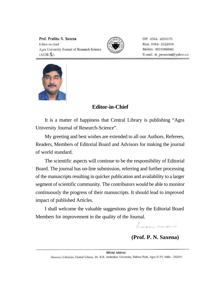Prof. Prabhu N. Saxena Editor-in-chief Agra University Journal of Research-Science  $(AUIR-S)$ 



Off 0562-2850175 Resi. 0562-2522034 Mobile. 9837068940 E-mail. dr\_pnsaxena@yahoo.co.



#### **Editor-in-Chief**

It is a matter of happiness that Central Library is publishing "Agra University Journal of Research-Science".

My greeting and best wishes are extended to all our Authors, Referees, Readers, Members of Editorial Board and Advisors for making the journal of world standard.

The scientific aspects will continue to be the responsibility of Editorial Board. The journal has on-line submission, referring and further processing of the manuscripts resulting in quicker publication and availability to a larger segment of scientific community. The contributors would be able to monitor continuously the progress of their manuscripts. It should lead to improved impact of published Articles.

I shall welcome the valuable suggestions given by the Editorial Board Members for improvement in the quality of the Journal.

Laber mondan

**(Prof. P. N. Saxena)**